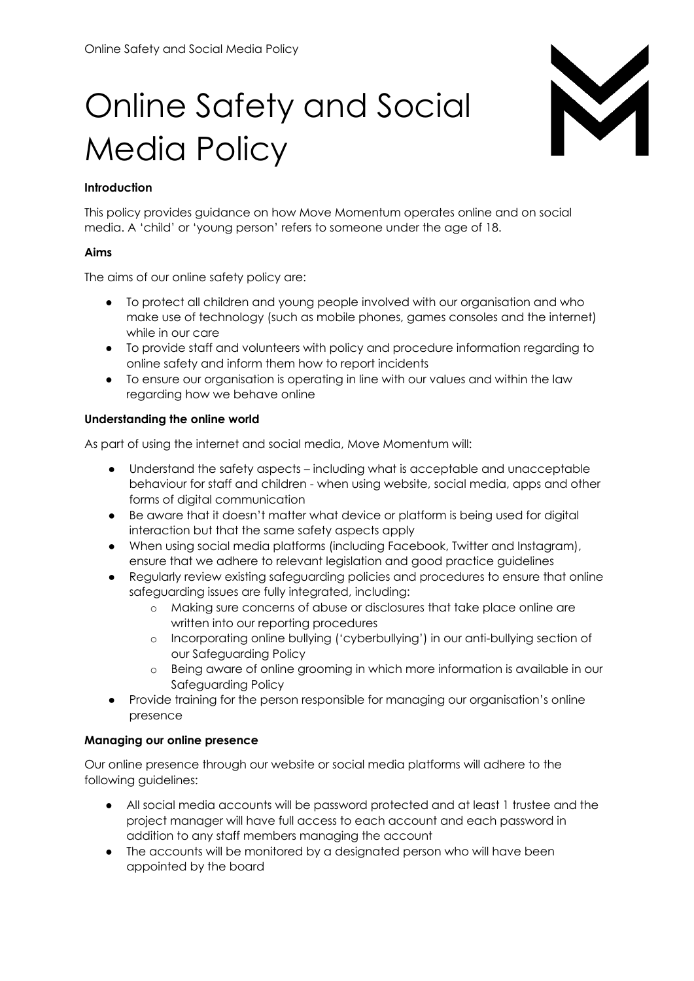# M

# Online Safety and Social Media Policy

# **Introduction**

This policy provides guidance on how Move Momentum operates online and on social media. A 'child' or 'young person' refers to someone under the age of 18.

# **Aims**

The aims of our online safety policy are:

- To protect all children and young people involved with our organisation and who make use of technology (such as mobile phones, games consoles and the internet) while in our care
- To provide staff and volunteers with policy and procedure information regarding to online safety and inform them how to report incidents
- To ensure our organisation is operating in line with our values and within the law regarding how we behave online

# **Understanding the online world**

As part of using the internet and social media, Move Momentum will:

- Understand the safety aspects including what is acceptable and unacceptable behaviour for staff and children - when using website, social media, apps and other forms of digital communication
- Be aware that it doesn't matter what device or platform is being used for digital interaction but that the same safety aspects apply
- When using social media platforms (including Facebook, Twitter and Instagram), ensure that we adhere to relevant legislation and good practice guidelines
- Regularly review existing safeguarding policies and procedures to ensure that online safeguarding issues are fully integrated, including:
	- o Making sure concerns of abuse or disclosures that take place online are written into our reporting procedures
	- o Incorporating online bullying ('cyberbullying') in our anti-bullying section of our Safeguarding Policy
	- o Being aware of online grooming in which more information is available in our Safeguarding Policy
- Provide training for the person responsible for managing our organisation's online presence

# **Managing our online presence**

Our online presence through our website or social media platforms will adhere to the following guidelines:

- All social media accounts will be password protected and at least 1 trustee and the project manager will have full access to each account and each password in addition to any staff members managing the account
- The accounts will be monitored by a designated person who will have been appointed by the board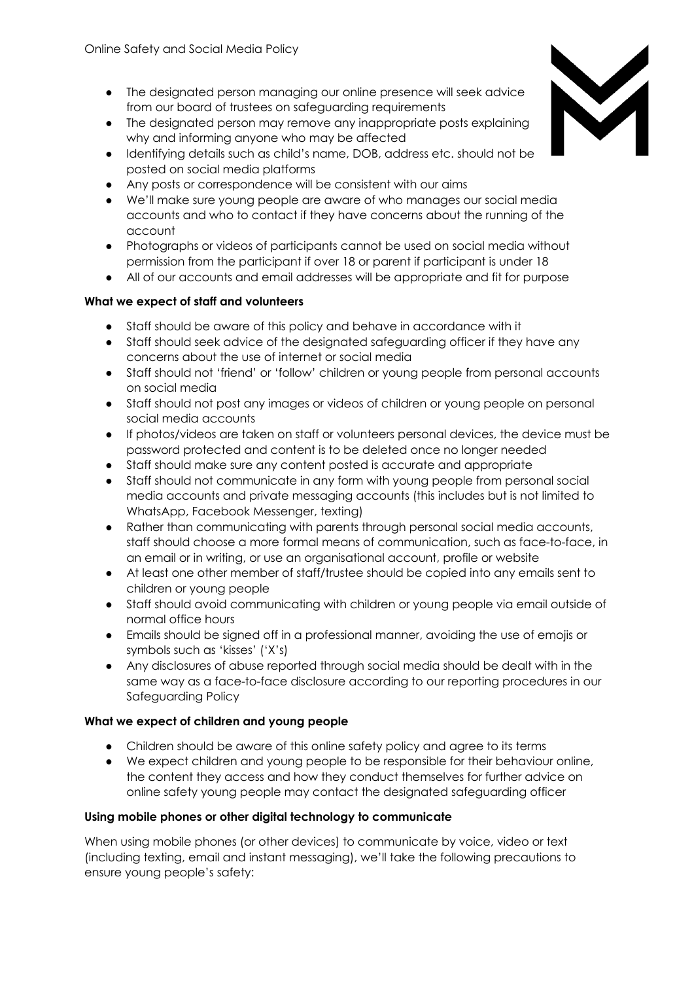- The designated person managing our online presence will seek advice from our board of trustees on safeguarding requirements
- The designated person may remove any inappropriate posts explaining why and informing anyone who may be affected
- Identifying details such as child's name, DOB, address etc. should not be posted on social media platforms
- Any posts or correspondence will be consistent with our aims
- We'll make sure young people are aware of who manages our social media accounts and who to contact if they have concerns about the running of the account
- Photographs or videos of participants cannot be used on social media without permission from the participant if over 18 or parent if participant is under 18
- All of our accounts and email addresses will be appropriate and fit for purpose

#### **What we expect of staff and volunteers**

- Staff should be aware of this policy and behave in accordance with it
- Staff should seek advice of the designated safeguarding officer if they have any concerns about the use of internet or social media
- Staff should not 'friend' or 'follow' children or young people from personal accounts on social media
- Staff should not post any images or videos of children or young people on personal social media accounts
- If photos/videos are taken on staff or volunteers personal devices, the device must be password protected and content is to be deleted once no longer needed
- Staff should make sure any content posted is accurate and appropriate
- Staff should not communicate in any form with young people from personal social media accounts and private messaging accounts (this includes but is not limited to WhatsApp, Facebook Messenger, texting)
- Rather than communicating with parents through personal social media accounts, staff should choose a more formal means of communication, such as face-to-face, in an email or in writing, or use an organisational account, profile or website
- At least one other member of staff/trustee should be copied into any emails sent to children or young people
- Staff should avoid communicating with children or young people via email outside of normal office hours
- Emails should be signed off in a professional manner, avoiding the use of emojis or symbols such as 'kisses' ('X's)
- Any disclosures of abuse reported through social media should be dealt with in the same way as a face-to-face disclosure according to our reporting procedures in our Safeguarding Policy

#### **What we expect of children and young people**

- Children should be aware of this online safety policy and agree to its terms
- We expect children and young people to be responsible for their behaviour online, the content they access and how they conduct themselves for further advice on online safety young people may contact the designated safeguarding officer

#### **Using mobile phones or other digital technology to communicate**

When using mobile phones (or other devices) to communicate by voice, video or text (including texting, email and instant messaging), we'll take the following precautions to ensure young people's safety:

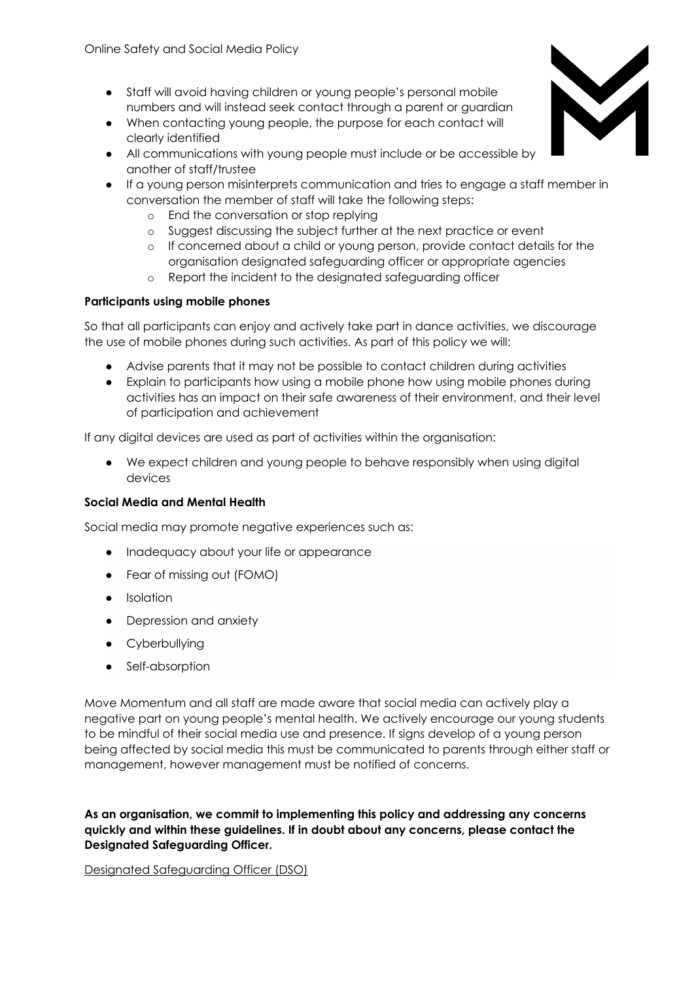- Staff will avoid having children or young people's personal mobile numbers and will instead seek contact through a parent or guardian
- When contacting young people, the purpose for each contact will clearly identified
- All communications with young people must include or be accessible by another of staff/trustee
- If a young person misinterprets communication and tries to engage a staff member in conversation the member of staff will take the following steps:
	- o End the conversation or stop replying
	- o Suggest discussing the subject further at the next practice or event
	- o If concerned about a child or young person, provide contact details for the organisation designated safeguarding officer or appropriate agencies
	- o Report the incident to the designated safeguarding officer

#### **Participants using mobile phones**

So that all participants can enjoy and actively take part in dance activities, we discourage the use of mobile phones during such activities. As part of this policy we will:

- Advise parents that it may not be possible to contact children during activities
- Explain to participants how using a mobile phone how using mobile phones during activities has an impact on their safe awareness of their environment, and their level of participation and achievement

If any digital devices are used as part of activities within the organisation:

● We expect children and young people to behave responsibly when using digital devices

#### **Social Media and Mental Health**

Social media may promote negative experiences such as:

- Inadequacy about your life or appearance
- Fear of missing out (FOMO)
- Isolation
- Depression and anxiety
- Cyberbullying
- Self-absorption

Move Momentum and all staff are made aware that social media can actively play a negative part on young people's mental health. We actively encourage our young students to be mindful of their social media use and presence. If signs develop of a young person being affected by social media this must be communicated to parents through either staff or management, however management must be notified of concerns.

**As an organisation, we commit to implementing this policy and addressing any concerns quickly and within these guidelines. If in doubt about any concerns, please contact the Designated Safeguarding Officer.**

Designated Safeguarding Officer (DSO)